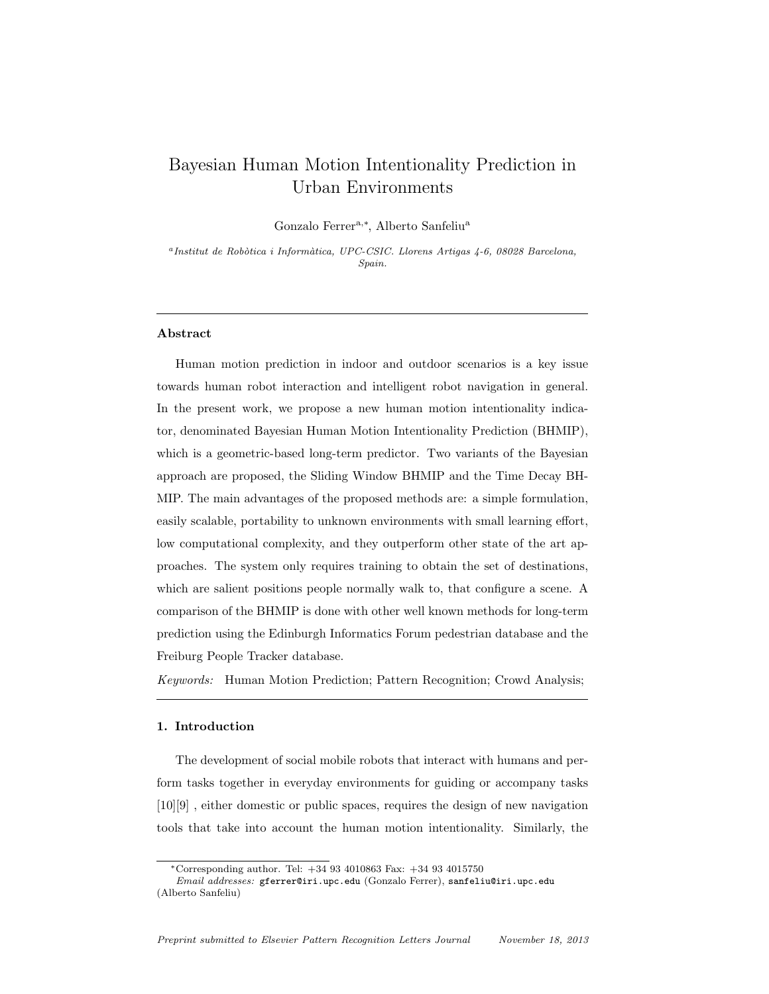# Bayesian Human Motion Intentionality Prediction in Urban Environments

Gonzalo Ferrer<sup>a,∗</sup>, Alberto Sanfeliu<sup>a</sup>

<sup>a</sup> Institut de Robòtica i Informàtica, UPC-CSIC. Llorens Artigas 4-6, 08028 Barcelona, *Spain.*

#### Abstract

Human motion prediction in indoor and outdoor scenarios is a key issue towards human robot interaction and intelligent robot navigation in general. In the present work, we propose a new human motion intentionality indicator, denominated Bayesian Human Motion Intentionality Prediction (BHMIP), which is a geometric-based long-term predictor. Two variants of the Bayesian approach are proposed, the Sliding Window BHMIP and the Time Decay BH-MIP. The main advantages of the proposed methods are: a simple formulation, easily scalable, portability to unknown environments with small learning effort, low computational complexity, and they outperform other state of the art approaches. The system only requires training to obtain the set of destinations, which are salient positions people normally walk to, that configure a scene. A comparison of the BHMIP is done with other well known methods for long-term prediction using the Edinburgh Informatics Forum pedestrian database and the Freiburg People Tracker database.

*Keywords:* Human Motion Prediction; Pattern Recognition; Crowd Analysis;

# 1. Introduction

The development of social mobile robots that interact with humans and perform tasks together in everyday environments for guiding or accompany tasks [10][9] , either domestic or public spaces, requires the design of new navigation tools that take into account the human motion intentionality. Similarly, the

<sup>∗</sup>Corresponding author. Tel: +34 93 4010863 Fax: +34 93 4015750

*Email addresses:* gferrer@iri.upc.edu (Gonzalo Ferrer), sanfeliu@iri.upc.edu (Alberto Sanfeliu)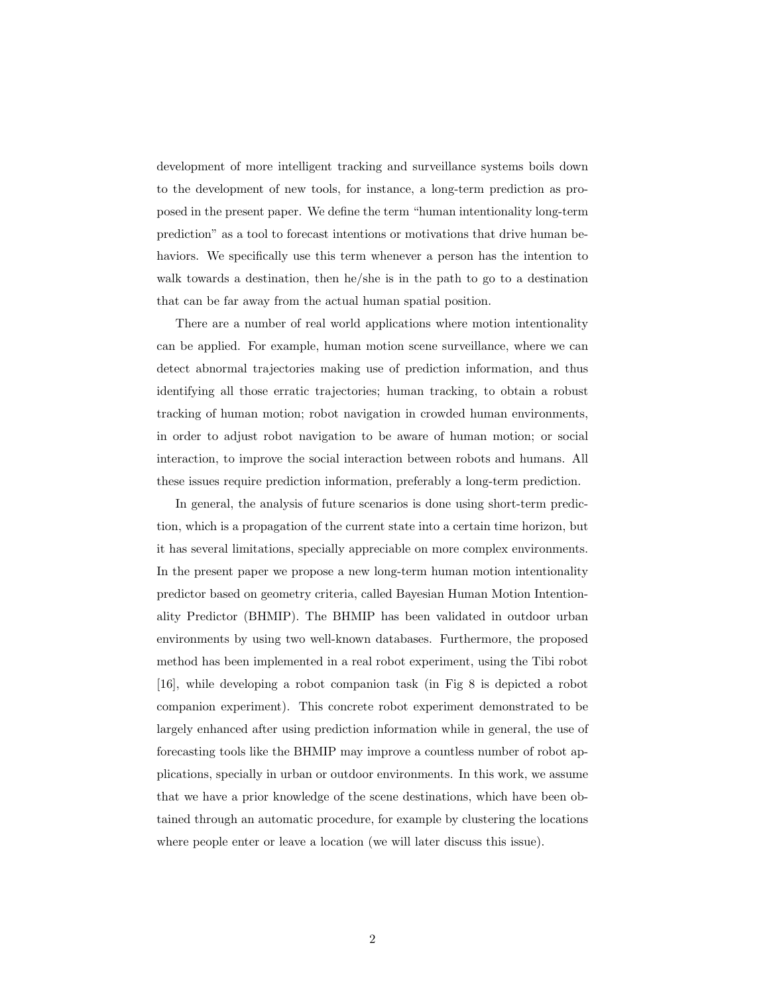development of more intelligent tracking and surveillance systems boils down to the development of new tools, for instance, a long-term prediction as proposed in the present paper. We define the term "human intentionality long-term prediction" as a tool to forecast intentions or motivations that drive human behaviors. We specifically use this term whenever a person has the intention to walk towards a destination, then he/she is in the path to go to a destination that can be far away from the actual human spatial position.

There are a number of real world applications where motion intentionality can be applied. For example, human motion scene surveillance, where we can detect abnormal trajectories making use of prediction information, and thus identifying all those erratic trajectories; human tracking, to obtain a robust tracking of human motion; robot navigation in crowded human environments, in order to adjust robot navigation to be aware of human motion; or social interaction, to improve the social interaction between robots and humans. All these issues require prediction information, preferably a long-term prediction.

In general, the analysis of future scenarios is done using short-term prediction, which is a propagation of the current state into a certain time horizon, but it has several limitations, specially appreciable on more complex environments. In the present paper we propose a new long-term human motion intentionality predictor based on geometry criteria, called Bayesian Human Motion Intentionality Predictor (BHMIP). The BHMIP has been validated in outdoor urban environments by using two well-known databases. Furthermore, the proposed method has been implemented in a real robot experiment, using the Tibi robot [16], while developing a robot companion task (in Fig 8 is depicted a robot companion experiment). This concrete robot experiment demonstrated to be largely enhanced after using prediction information while in general, the use of forecasting tools like the BHMIP may improve a countless number of robot applications, specially in urban or outdoor environments. In this work, we assume that we have a prior knowledge of the scene destinations, which have been obtained through an automatic procedure, for example by clustering the locations where people enter or leave a location (we will later discuss this issue).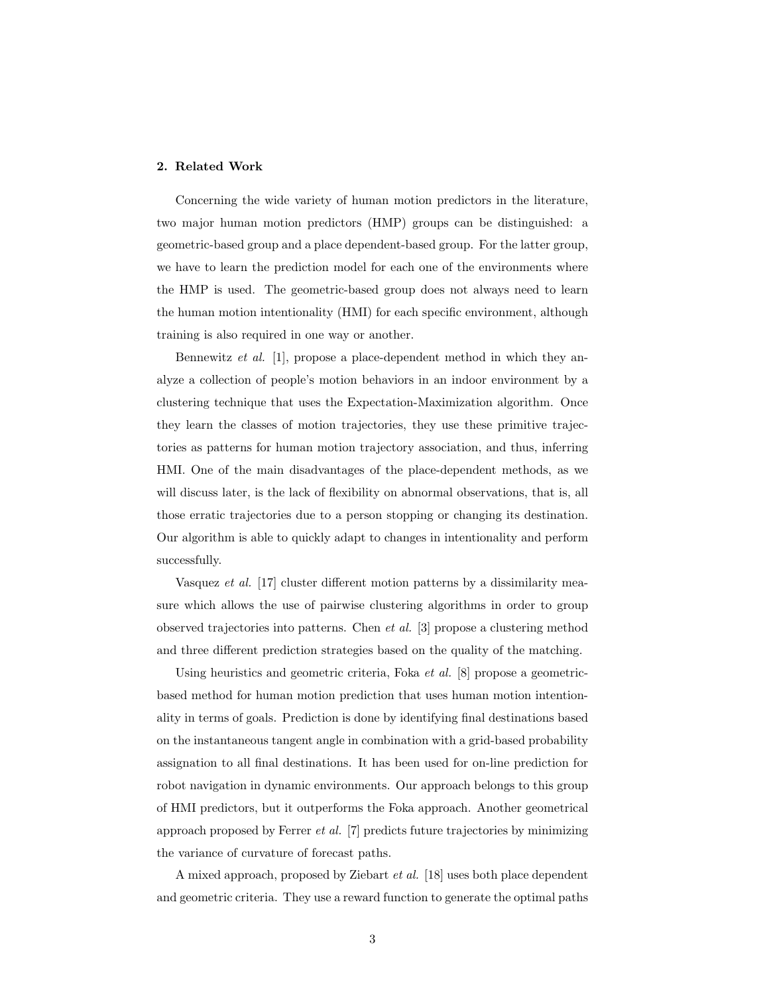## 2. Related Work

Concerning the wide variety of human motion predictors in the literature, two major human motion predictors (HMP) groups can be distinguished: a geometric-based group and a place dependent-based group. For the latter group, we have to learn the prediction model for each one of the environments where the HMP is used. The geometric-based group does not always need to learn the human motion intentionality (HMI) for each specific environment, although training is also required in one way or another.

Bennewitz *et al.* [1], propose a place-dependent method in which they analyze a collection of people's motion behaviors in an indoor environment by a clustering technique that uses the Expectation-Maximization algorithm. Once they learn the classes of motion trajectories, they use these primitive trajectories as patterns for human motion trajectory association, and thus, inferring HMI. One of the main disadvantages of the place-dependent methods, as we will discuss later, is the lack of flexibility on abnormal observations, that is, all those erratic trajectories due to a person stopping or changing its destination. Our algorithm is able to quickly adapt to changes in intentionality and perform successfully.

Vasquez *et al.* [17] cluster different motion patterns by a dissimilarity measure which allows the use of pairwise clustering algorithms in order to group observed trajectories into patterns. Chen *et al.* [3] propose a clustering method and three different prediction strategies based on the quality of the matching.

Using heuristics and geometric criteria, Foka *et al.* [8] propose a geometricbased method for human motion prediction that uses human motion intentionality in terms of goals. Prediction is done by identifying final destinations based on the instantaneous tangent angle in combination with a grid-based probability assignation to all final destinations. It has been used for on-line prediction for robot navigation in dynamic environments. Our approach belongs to this group of HMI predictors, but it outperforms the Foka approach. Another geometrical approach proposed by Ferrer *et al.* [7] predicts future trajectories by minimizing the variance of curvature of forecast paths.

A mixed approach, proposed by Ziebart *et al.* [18] uses both place dependent and geometric criteria. They use a reward function to generate the optimal paths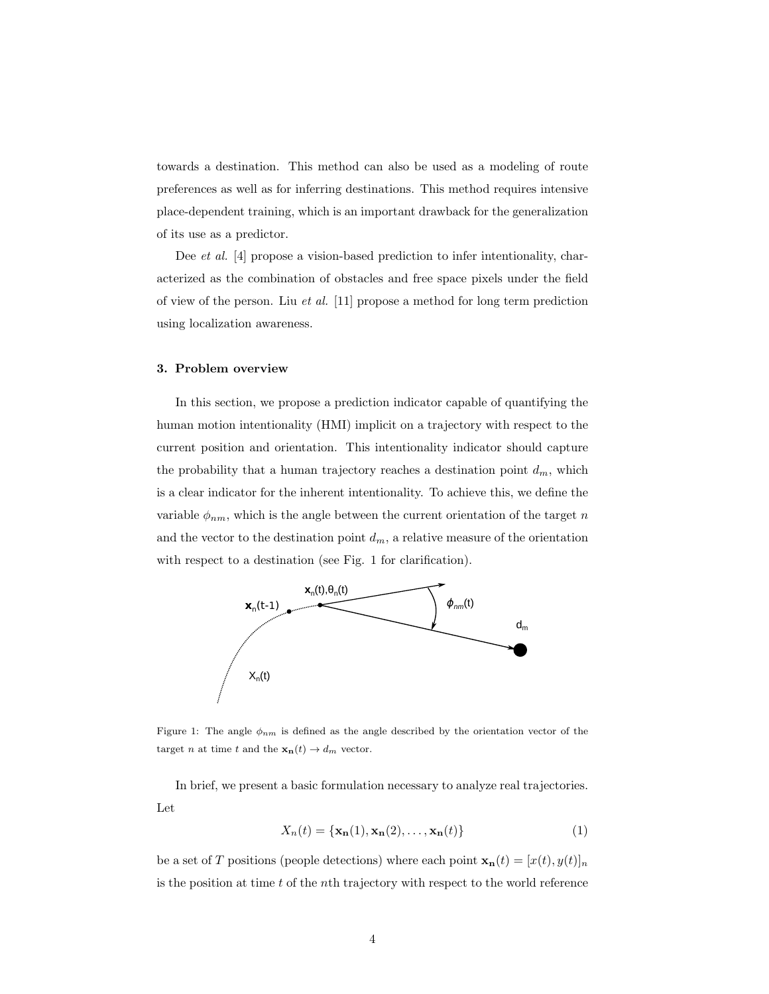towards a destination. This method can also be used as a modeling of route preferences as well as for inferring destinations. This method requires intensive place-dependent training, which is an important drawback for the generalization of its use as a predictor.

Dee *et al.* [4] propose a vision-based prediction to infer intentionality, characterized as the combination of obstacles and free space pixels under the field of view of the person. Liu *et al.* [11] propose a method for long term prediction using localization awareness.

### 3. Problem overview

In this section, we propose a prediction indicator capable of quantifying the human motion intentionality (HMI) implicit on a trajectory with respect to the current position and orientation. This intentionality indicator should capture the probability that a human trajectory reaches a destination point  $d_m$ , which is a clear indicator for the inherent intentionality. To achieve this, we define the variable  $\phi_{nm}$ , which is the angle between the current orientation of the target n and the vector to the destination point  $d_m$ , a relative measure of the orientation with respect to a destination (see Fig. 1 for clarification).



Figure 1: The angle  $\phi_{nm}$  is defined as the angle described by the orientation vector of the target n at time t and the  $\mathbf{x_n}(t) \to d_m$  vector.

In brief, we present a basic formulation necessary to analyze real trajectories. Let

$$
X_n(t) = \{\mathbf{x_n}(1), \mathbf{x_n}(2), \dots, \mathbf{x_n}(t)\}\tag{1}
$$

be a set of T positions (people detections) where each point  $\mathbf{x}_n(t) = [x(t), y(t)]_n$ is the position at time  $t$  of the nth trajectory with respect to the world reference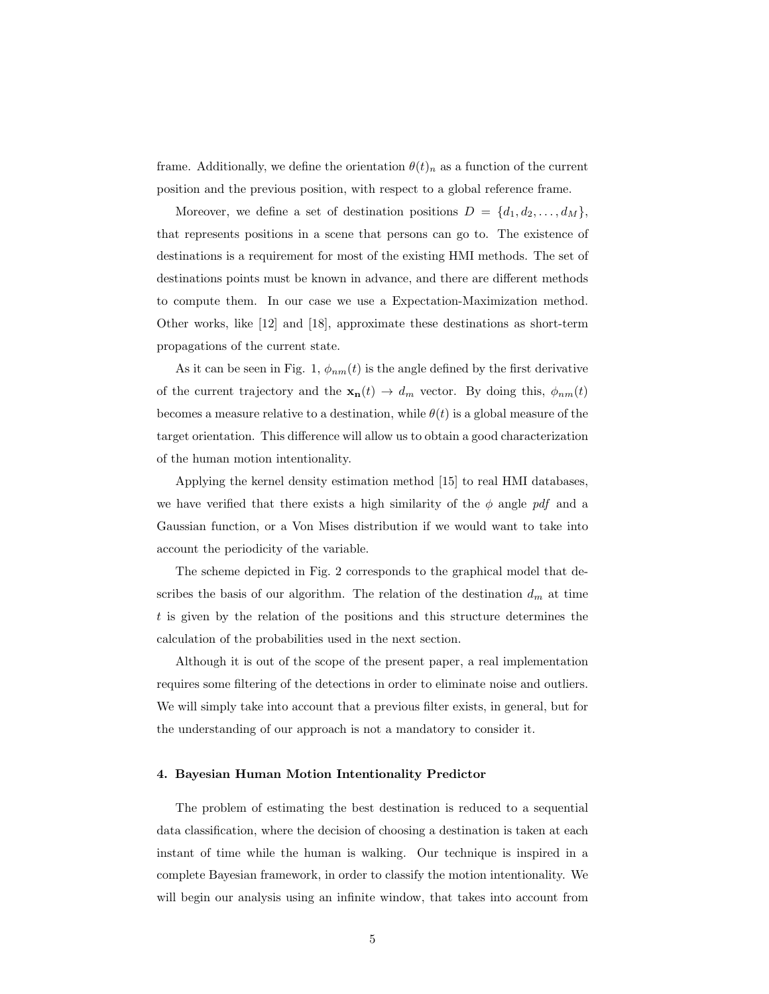frame. Additionally, we define the orientation  $\theta(t)_n$  as a function of the current position and the previous position, with respect to a global reference frame.

Moreover, we define a set of destination positions  $D = \{d_1, d_2, \ldots, d_M\},\$ that represents positions in a scene that persons can go to. The existence of destinations is a requirement for most of the existing HMI methods. The set of destinations points must be known in advance, and there are different methods to compute them. In our case we use a Expectation-Maximization method. Other works, like [12] and [18], approximate these destinations as short-term propagations of the current state.

As it can be seen in Fig. 1,  $\phi_{nm}(t)$  is the angle defined by the first derivative of the current trajectory and the  $\mathbf{x}_n(t) \rightarrow d_m$  vector. By doing this,  $\phi_{nm}(t)$ becomes a measure relative to a destination, while  $\theta(t)$  is a global measure of the target orientation. This difference will allow us to obtain a good characterization of the human motion intentionality.

Applying the kernel density estimation method [15] to real HMI databases, we have verified that there exists a high similarity of the  $\phi$  angle *pdf* and a Gaussian function, or a Von Mises distribution if we would want to take into account the periodicity of the variable.

The scheme depicted in Fig. 2 corresponds to the graphical model that describes the basis of our algorithm. The relation of the destination  $d_m$  at time t is given by the relation of the positions and this structure determines the calculation of the probabilities used in the next section.

Although it is out of the scope of the present paper, a real implementation requires some filtering of the detections in order to eliminate noise and outliers. We will simply take into account that a previous filter exists, in general, but for the understanding of our approach is not a mandatory to consider it.

#### 4. Bayesian Human Motion Intentionality Predictor

The problem of estimating the best destination is reduced to a sequential data classification, where the decision of choosing a destination is taken at each instant of time while the human is walking. Our technique is inspired in a complete Bayesian framework, in order to classify the motion intentionality. We will begin our analysis using an infinite window, that takes into account from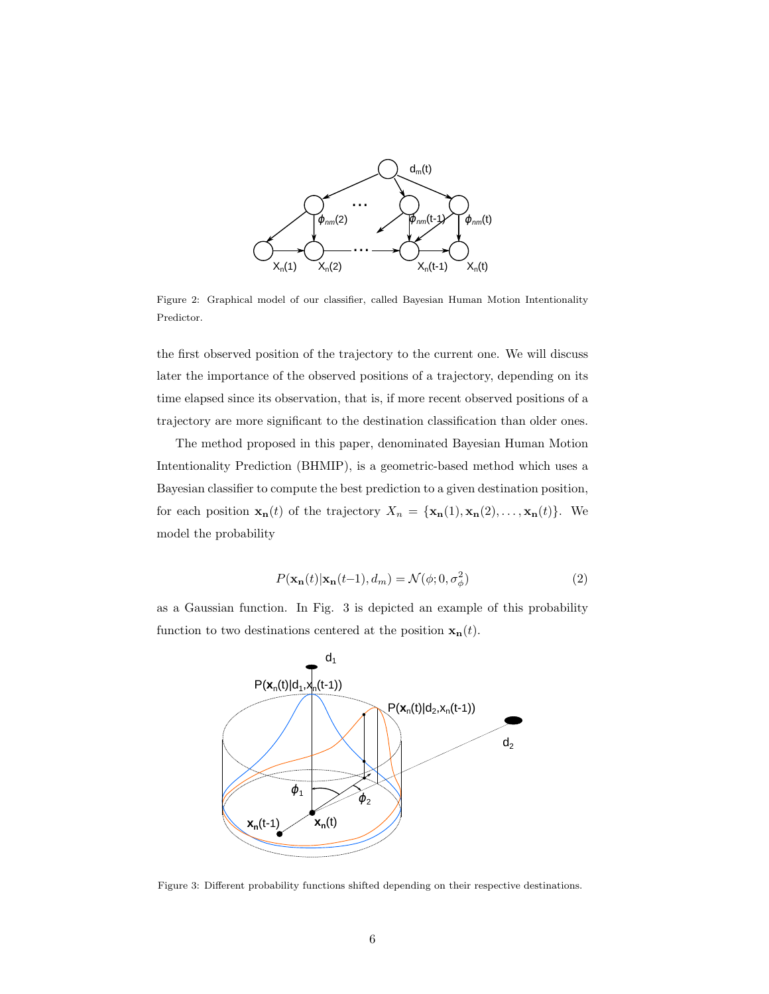

Figure 2: Graphical model of our classifier, called Bayesian Human Motion Intentionality Predictor.

the first observed position of the trajectory to the current one. We will discuss later the importance of the observed positions of a trajectory, depending on its time elapsed since its observation, that is, if more recent observed positions of a trajectory are more significant to the destination classification than older ones.

The method proposed in this paper, denominated Bayesian Human Motion Intentionality Prediction (BHMIP), is a geometric-based method which uses a Bayesian classifier to compute the best prediction to a given destination position, for each position  $\mathbf{x_n}(t)$  of the trajectory  $X_n = {\mathbf{x_n}(1), \mathbf{x_n}(2), \ldots, \mathbf{x_n}(t)}$ . We model the probability

$$
P(\mathbf{x_n}(t)|\mathbf{x_n}(t-1), d_m) = \mathcal{N}(\phi; 0, \sigma_\phi^2)
$$
\n(2)

as a Gaussian function. In Fig. 3 is depicted an example of this probability function to two destinations centered at the position  $\mathbf{x}_n(t)$ .



Figure 3: Different probability functions shifted depending on their respective destinations.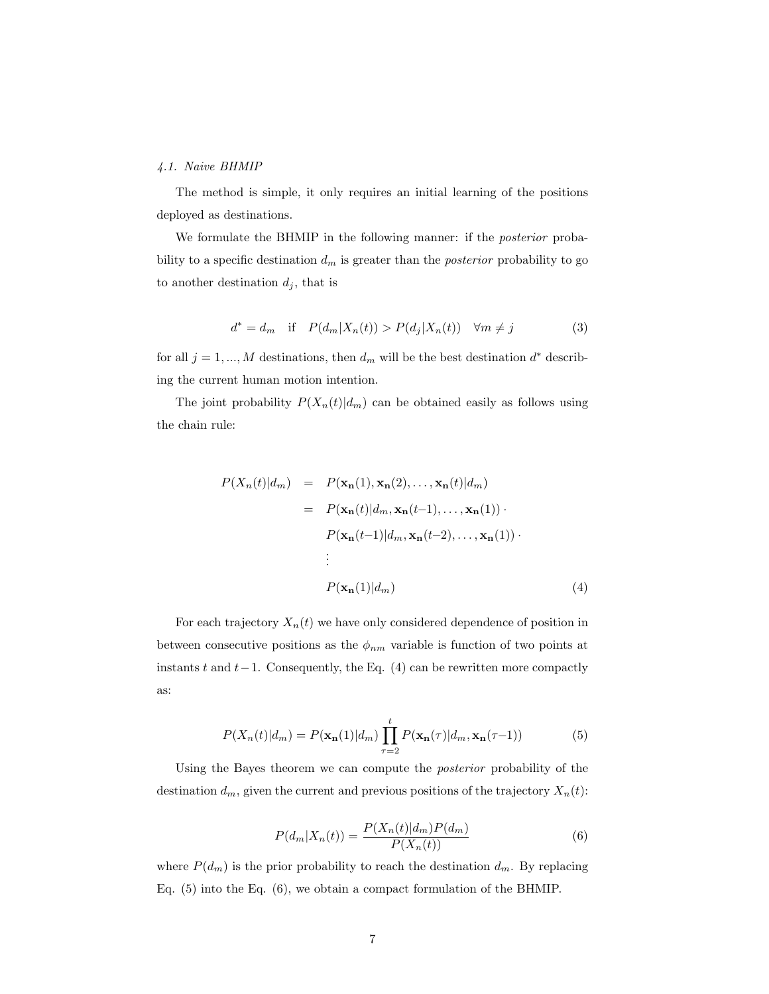# *4.1. Naive BHMIP*

The method is simple, it only requires an initial learning of the positions deployed as destinations.

We formulate the BHMIP in the following manner: if the *posterior* probability to a specific destination  $d_m$  is greater than the *posterior* probability to go to another destination  $d_j$ , that is

$$
d^* = d_m \quad \text{if} \quad P(d_m | X_n(t)) > P(d_j | X_n(t)) \quad \forall m \neq j \tag{3}
$$

for all  $j = 1, ..., M$  destinations, then  $d_m$  will be the best destination  $d^*$  describing the current human motion intention.

The joint probability  $P(X_n(t)|d_m)$  can be obtained easily as follows using the chain rule:

$$
P(X_n(t)|d_m) = P(\mathbf{x_n}(1), \mathbf{x_n}(2), \dots, \mathbf{x_n}(t)|d_m)
$$
  
\n
$$
= P(\mathbf{x_n}(t)|d_m, \mathbf{x_n}(t-1), \dots, \mathbf{x_n}(1)) \cdot P(\mathbf{x_n}(t-1)|d_m, \mathbf{x_n}(t-2), \dots, \mathbf{x_n}(1)) \cdot
$$
  
\n
$$
\vdots
$$
  
\n
$$
P(\mathbf{x_n}(1)|d_m)
$$
 (4)

For each trajectory  $X_n(t)$  we have only considered dependence of position in between consecutive positions as the  $\phi_{nm}$  variable is function of two points at instants t and  $t-1$ . Consequently, the Eq. (4) can be rewritten more compactly as:

$$
P(X_n(t)|d_m) = P(\mathbf{x_n}(1)|d_m) \prod_{\tau=2}^t P(\mathbf{x_n}(\tau)|d_m, \mathbf{x_n}(\tau-1))
$$
(5)

Using the Bayes theorem we can compute the *posterior* probability of the destination  $d_m$ , given the current and previous positions of the trajectory  $X_n(t)$ :

$$
P(d_m|X_n(t)) = \frac{P(X_n(t)|d_m)P(d_m)}{P(X_n(t))}
$$
\n(6)

where  $P(d_m)$  is the prior probability to reach the destination  $d_m$ . By replacing Eq. (5) into the Eq. (6), we obtain a compact formulation of the BHMIP.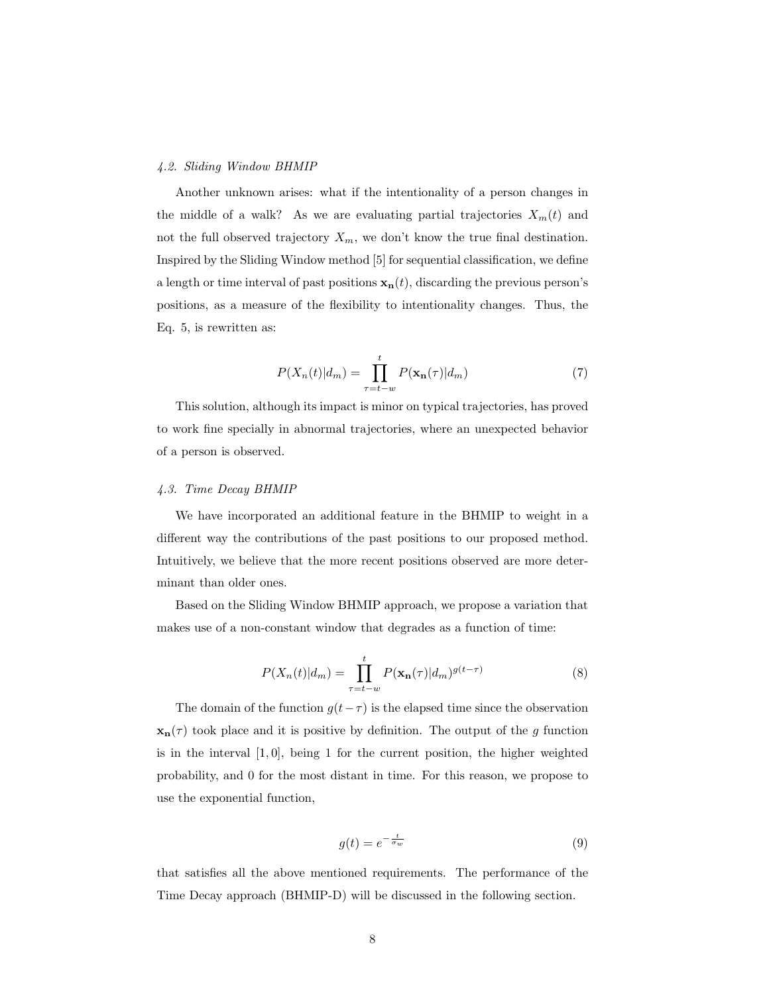### *4.2. Sliding Window BHMIP*

Another unknown arises: what if the intentionality of a person changes in the middle of a walk? As we are evaluating partial trajectories  $X_m(t)$  and not the full observed trajectory  $X_m$ , we don't know the true final destination. Inspired by the Sliding Window method [5] for sequential classification, we define a length or time interval of past positions  $\mathbf{x}_n(t)$ , discarding the previous person's positions, as a measure of the flexibility to intentionality changes. Thus, the Eq. 5, is rewritten as:

$$
P(X_n(t)|d_m) = \prod_{\tau=t-w}^t P(\mathbf{x_n}(\tau)|d_m)
$$
 (7)

This solution, although its impact is minor on typical trajectories, has proved to work fine specially in abnormal trajectories, where an unexpected behavior of a person is observed.

### *4.3. Time Decay BHMIP*

We have incorporated an additional feature in the BHMIP to weight in a different way the contributions of the past positions to our proposed method. Intuitively, we believe that the more recent positions observed are more determinant than older ones.

Based on the Sliding Window BHMIP approach, we propose a variation that makes use of a non-constant window that degrades as a function of time:

$$
P(X_n(t)|d_m) = \prod_{\tau=t-w}^t P(\mathbf{x_n}(\tau)|d_m)^{g(t-\tau)}
$$
\n(8)

The domain of the function  $g(t-\tau)$  is the elapsed time since the observation  $\mathbf{x}_n(\tau)$  took place and it is positive by definition. The output of the g function is in the interval [1, 0], being 1 for the current position, the higher weighted probability, and 0 for the most distant in time. For this reason, we propose to use the exponential function,

$$
g(t) = e^{-\frac{t}{\sigma_w}}\tag{9}
$$

that satisfies all the above mentioned requirements. The performance of the Time Decay approach (BHMIP-D) will be discussed in the following section.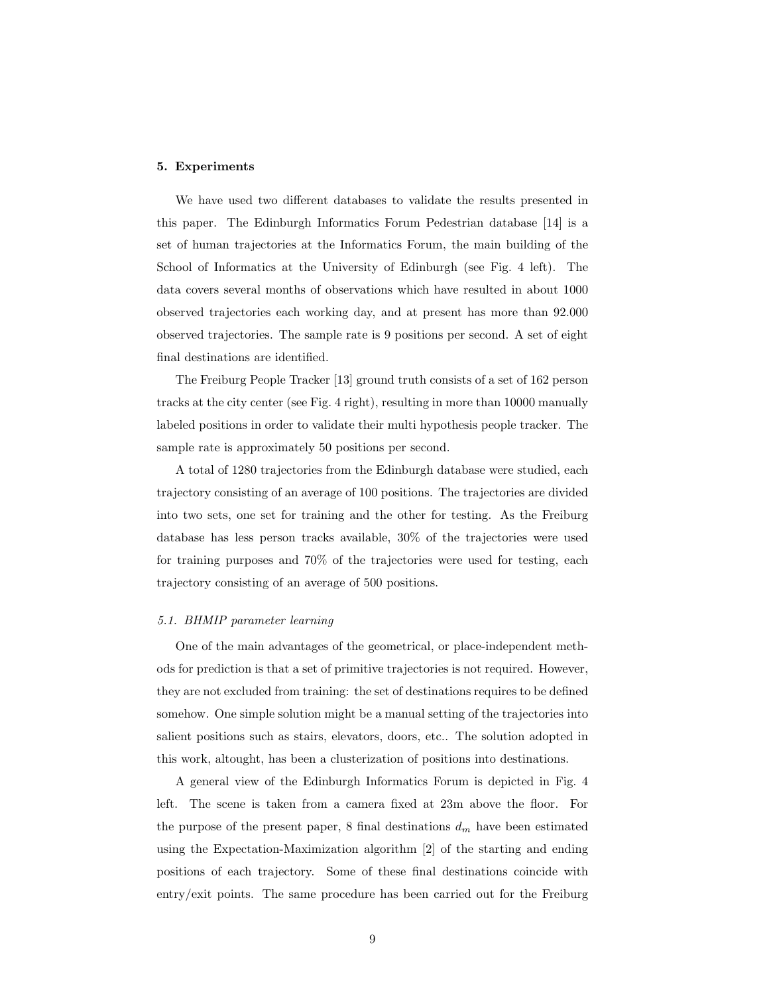## 5. Experiments

We have used two different databases to validate the results presented in this paper. The Edinburgh Informatics Forum Pedestrian database [14] is a set of human trajectories at the Informatics Forum, the main building of the School of Informatics at the University of Edinburgh (see Fig. 4 left). The data covers several months of observations which have resulted in about 1000 observed trajectories each working day, and at present has more than 92.000 observed trajectories. The sample rate is 9 positions per second. A set of eight final destinations are identified.

The Freiburg People Tracker [13] ground truth consists of a set of 162 person tracks at the city center (see Fig. 4 right), resulting in more than 10000 manually labeled positions in order to validate their multi hypothesis people tracker. The sample rate is approximately 50 positions per second.

A total of 1280 trajectories from the Edinburgh database were studied, each trajectory consisting of an average of 100 positions. The trajectories are divided into two sets, one set for training and the other for testing. As the Freiburg database has less person tracks available, 30% of the trajectories were used for training purposes and 70% of the trajectories were used for testing, each trajectory consisting of an average of 500 positions.

## *5.1. BHMIP parameter learning*

One of the main advantages of the geometrical, or place-independent methods for prediction is that a set of primitive trajectories is not required. However, they are not excluded from training: the set of destinations requires to be defined somehow. One simple solution might be a manual setting of the trajectories into salient positions such as stairs, elevators, doors, etc.. The solution adopted in this work, altought, has been a clusterization of positions into destinations.

A general view of the Edinburgh Informatics Forum is depicted in Fig. 4 left. The scene is taken from a camera fixed at 23m above the floor. For the purpose of the present paper, 8 final destinations  $d_m$  have been estimated using the Expectation-Maximization algorithm [2] of the starting and ending positions of each trajectory. Some of these final destinations coincide with entry/exit points. The same procedure has been carried out for the Freiburg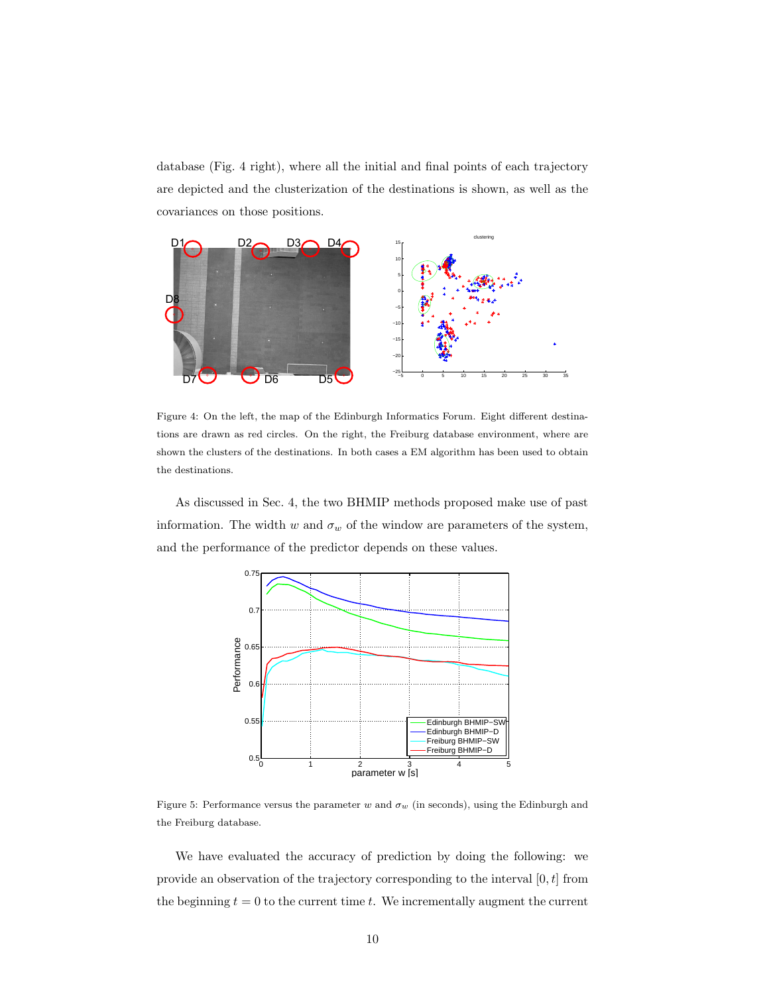database (Fig. 4 right), where all the initial and final points of each trajectory are depicted and the clusterization of the destinations is shown, as well as the covariances on those positions.



Figure 4: On the left, the map of the Edinburgh Informatics Forum. Eight different destinations are drawn as red circles. On the right, the Freiburg database environment, where are shown the clusters of the destinations. In both cases a EM algorithm has been used to obtain the destinations.

As discussed in Sec. 4, the two BHMIP methods proposed make use of past information. The width w and  $\sigma_w$  of the window are parameters of the system, and the performance of the predictor depends on these values.



Figure 5: Performance versus the parameter w and  $\sigma_w$  (in seconds), using the Edinburgh and the Freiburg database.

We have evaluated the accuracy of prediction by doing the following: we provide an observation of the trajectory corresponding to the interval  $[0, t]$  from the beginning  $t = 0$  to the current time t. We incrementally augment the current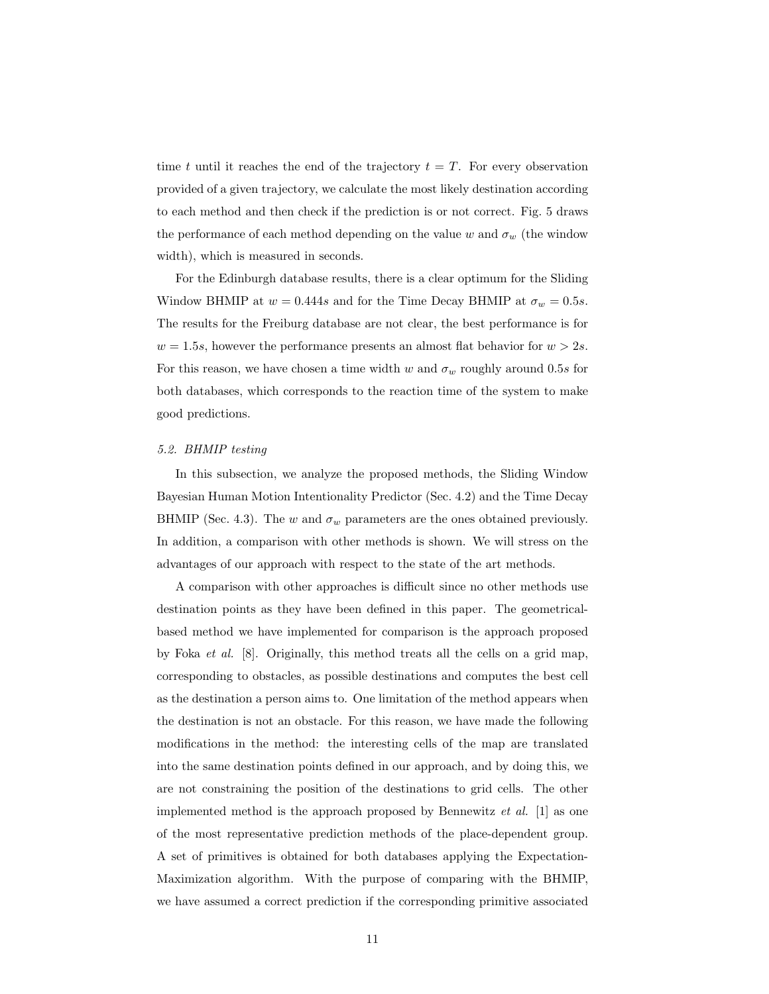time t until it reaches the end of the trajectory  $t = T$ . For every observation provided of a given trajectory, we calculate the most likely destination according to each method and then check if the prediction is or not correct. Fig. 5 draws the performance of each method depending on the value w and  $\sigma_w$  (the window width), which is measured in seconds.

For the Edinburgh database results, there is a clear optimum for the Sliding Window BHMIP at  $w = 0.444s$  and for the Time Decay BHMIP at  $\sigma_w = 0.5s$ . The results for the Freiburg database are not clear, the best performance is for  $w = 1.5s$ , however the performance presents an almost flat behavior for  $w > 2s$ . For this reason, we have chosen a time width  $w$  and  $\sigma_w$  roughly around  $0.5s$  for both databases, which corresponds to the reaction time of the system to make good predictions.

#### *5.2. BHMIP testing*

In this subsection, we analyze the proposed methods, the Sliding Window Bayesian Human Motion Intentionality Predictor (Sec. 4.2) and the Time Decay BHMIP (Sec. 4.3). The w and  $\sigma_w$  parameters are the ones obtained previously. In addition, a comparison with other methods is shown. We will stress on the advantages of our approach with respect to the state of the art methods.

A comparison with other approaches is difficult since no other methods use destination points as they have been defined in this paper. The geometricalbased method we have implemented for comparison is the approach proposed by Foka *et al.* [8]. Originally, this method treats all the cells on a grid map, corresponding to obstacles, as possible destinations and computes the best cell as the destination a person aims to. One limitation of the method appears when the destination is not an obstacle. For this reason, we have made the following modifications in the method: the interesting cells of the map are translated into the same destination points defined in our approach, and by doing this, we are not constraining the position of the destinations to grid cells. The other implemented method is the approach proposed by Bennewitz *et al.* [1] as one of the most representative prediction methods of the place-dependent group. A set of primitives is obtained for both databases applying the Expectation-Maximization algorithm. With the purpose of comparing with the BHMIP, we have assumed a correct prediction if the corresponding primitive associated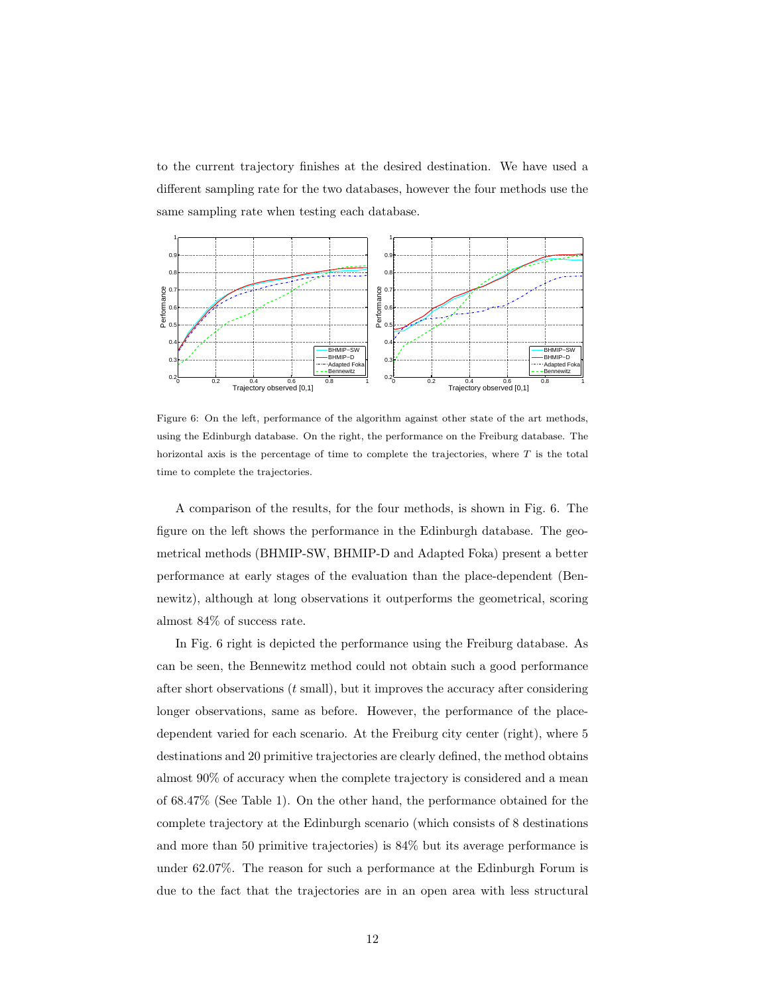to the current trajectory finishes at the desired destination. We have used a different sampling rate for the two databases, however the four methods use the same sampling rate when testing each database.



Figure 6: On the left, performance of the algorithm against other state of the art methods, using the Edinburgh database. On the right, the performance on the Freiburg database. The horizontal axis is the percentage of time to complete the trajectories, where  $T$  is the total time to complete the trajectories.

A comparison of the results, for the four methods, is shown in Fig. 6. The figure on the left shows the performance in the Edinburgh database. The geometrical methods (BHMIP-SW, BHMIP-D and Adapted Foka) present a better performance at early stages of the evaluation than the place-dependent (Bennewitz), although at long observations it outperforms the geometrical, scoring almost 84% of success rate.

In Fig. 6 right is depicted the performance using the Freiburg database. As can be seen, the Bennewitz method could not obtain such a good performance after short observations  $(t \text{ small})$ , but it improves the accuracy after considering longer observations, same as before. However, the performance of the placedependent varied for each scenario. At the Freiburg city center (right), where 5 destinations and 20 primitive trajectories are clearly defined, the method obtains almost 90% of accuracy when the complete trajectory is considered and a mean of 68.47% (See Table 1). On the other hand, the performance obtained for the complete trajectory at the Edinburgh scenario (which consists of 8 destinations and more than 50 primitive trajectories) is 84% but its average performance is under 62.07%. The reason for such a performance at the Edinburgh Forum is due to the fact that the trajectories are in an open area with less structural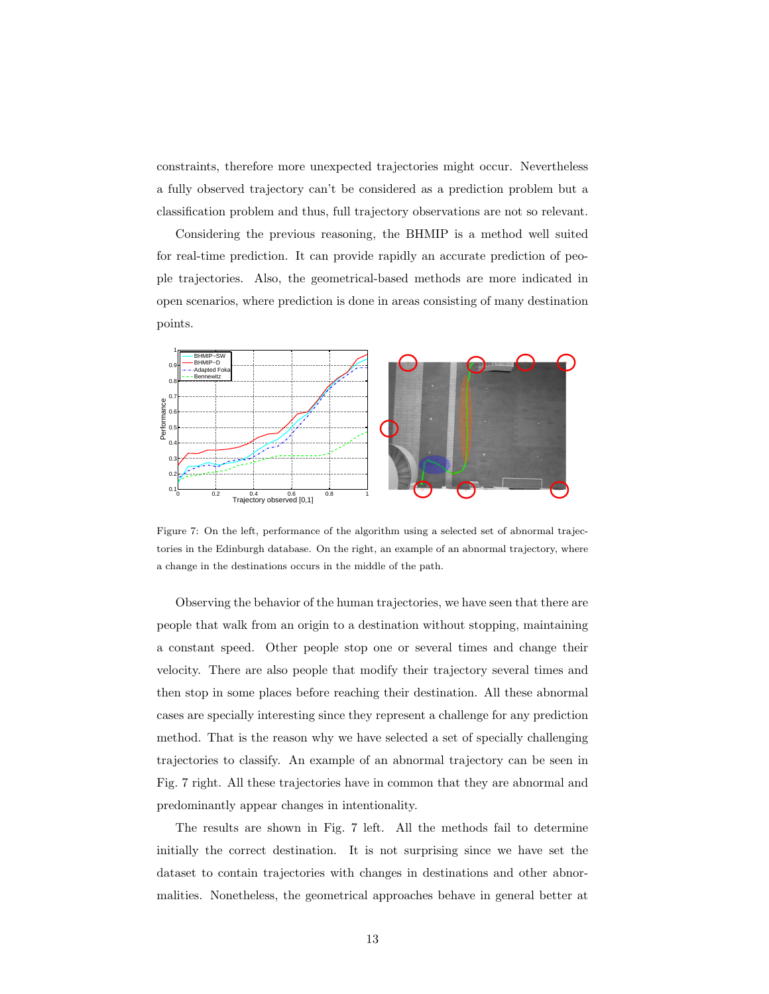constraints, therefore more unexpected trajectories might occur. Nevertheless a fully observed trajectory can't be considered as a prediction problem but a classification problem and thus, full trajectory observations are not so relevant.

Considering the previous reasoning, the BHMIP is a method well suited for real-time prediction. It can provide rapidly an accurate prediction of people trajectories. Also, the geometrical-based methods are more indicated in open scenarios, where prediction is done in areas consisting of many destination points.



Figure 7: On the left, performance of the algorithm using a selected set of abnormal trajectories in the Edinburgh database. On the right, an example of an abnormal trajectory, where a change in the destinations occurs in the middle of the path.

Observing the behavior of the human trajectories, we have seen that there are people that walk from an origin to a destination without stopping, maintaining a constant speed. Other people stop one or several times and change their velocity. There are also people that modify their trajectory several times and then stop in some places before reaching their destination. All these abnormal cases are specially interesting since they represent a challenge for any prediction method. That is the reason why we have selected a set of specially challenging trajectories to classify. An example of an abnormal trajectory can be seen in Fig. 7 right. All these trajectories have in common that they are abnormal and predominantly appear changes in intentionality.

The results are shown in Fig. 7 left. All the methods fail to determine initially the correct destination. It is not surprising since we have set the dataset to contain trajectories with changes in destinations and other abnormalities. Nonetheless, the geometrical approaches behave in general better at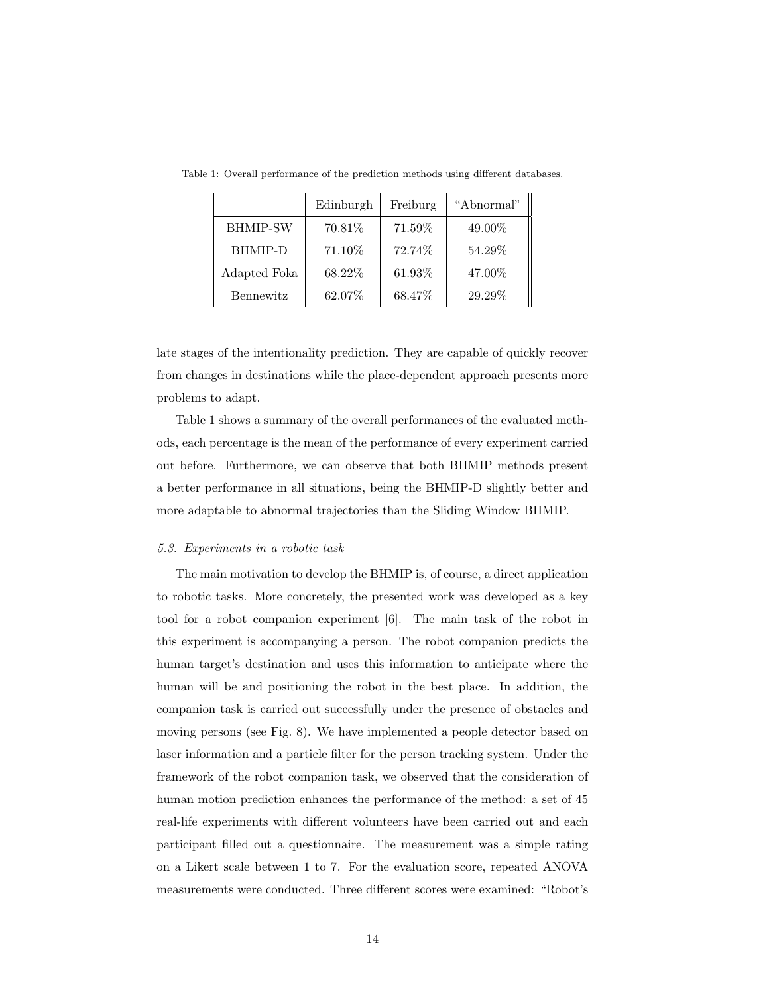|                 | Edinburgh | Freiburg | "Abnormal" |
|-----------------|-----------|----------|------------|
| <b>BHMIP-SW</b> | 70.81%    | 71.59%   | 49.00%     |
| <b>BHMIP-D</b>  | 71.10%    | 72.74%   | 54.29%     |
| Adapted Foka    | 68.22%    | 61.93%   | 47.00%     |
| Bennewitz       | 62.07%    | 68.47%   | 29.29%     |

Table 1: Overall performance of the prediction methods using different databases.

late stages of the intentionality prediction. They are capable of quickly recover from changes in destinations while the place-dependent approach presents more problems to adapt.

Table 1 shows a summary of the overall performances of the evaluated methods, each percentage is the mean of the performance of every experiment carried out before. Furthermore, we can observe that both BHMIP methods present a better performance in all situations, being the BHMIP-D slightly better and more adaptable to abnormal trajectories than the Sliding Window BHMIP.

#### *5.3. Experiments in a robotic task*

The main motivation to develop the BHMIP is, of course, a direct application to robotic tasks. More concretely, the presented work was developed as a key tool for a robot companion experiment [6]. The main task of the robot in this experiment is accompanying a person. The robot companion predicts the human target's destination and uses this information to anticipate where the human will be and positioning the robot in the best place. In addition, the companion task is carried out successfully under the presence of obstacles and moving persons (see Fig. 8). We have implemented a people detector based on laser information and a particle filter for the person tracking system. Under the framework of the robot companion task, we observed that the consideration of human motion prediction enhances the performance of the method: a set of 45 real-life experiments with different volunteers have been carried out and each participant filled out a questionnaire. The measurement was a simple rating on a Likert scale between 1 to 7. For the evaluation score, repeated ANOVA measurements were conducted. Three different scores were examined: "Robot's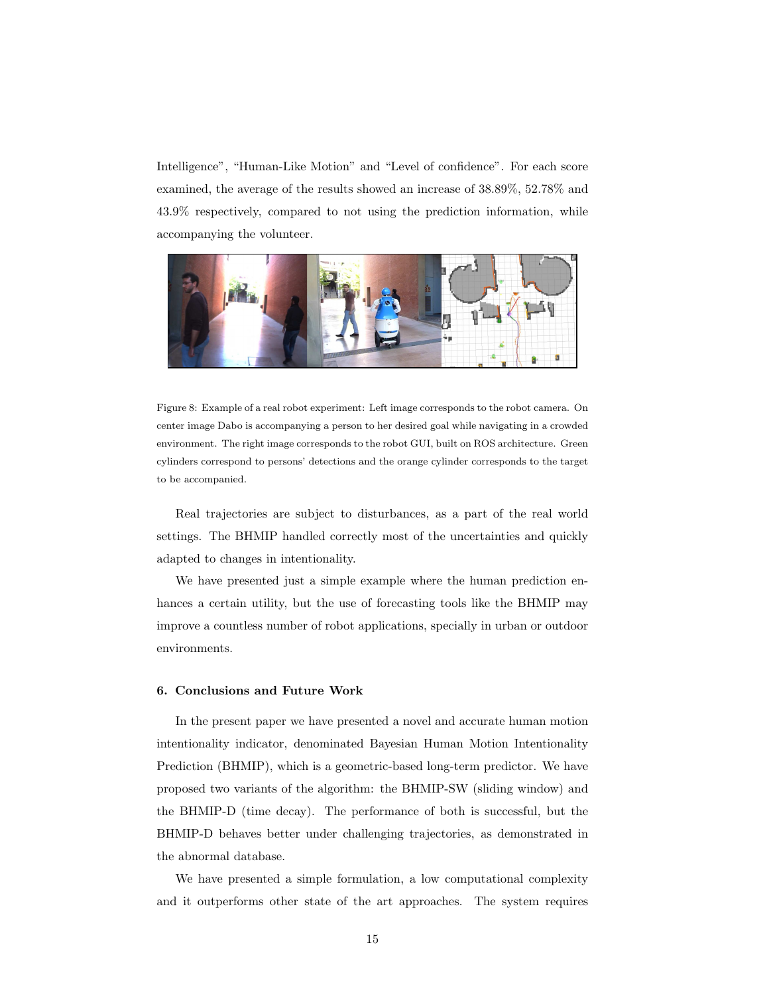Intelligence", "Human-Like Motion" and "Level of confidence". For each score examined, the average of the results showed an increase of 38.89%, 52.78% and 43.9% respectively, compared to not using the prediction information, while accompanying the volunteer.



Figure 8: Example of a real robot experiment: Left image corresponds to the robot camera. On center image Dabo is accompanying a person to her desired goal while navigating in a crowded environment. The right image corresponds to the robot GUI, built on ROS architecture. Green cylinders correspond to persons' detections and the orange cylinder corresponds to the target to be accompanied.

Real trajectories are subject to disturbances, as a part of the real world settings. The BHMIP handled correctly most of the uncertainties and quickly adapted to changes in intentionality.

We have presented just a simple example where the human prediction enhances a certain utility, but the use of forecasting tools like the BHMIP may improve a countless number of robot applications, specially in urban or outdoor environments.

# 6. Conclusions and Future Work

In the present paper we have presented a novel and accurate human motion intentionality indicator, denominated Bayesian Human Motion Intentionality Prediction (BHMIP), which is a geometric-based long-term predictor. We have proposed two variants of the algorithm: the BHMIP-SW (sliding window) and the BHMIP-D (time decay). The performance of both is successful, but the BHMIP-D behaves better under challenging trajectories, as demonstrated in the abnormal database.

We have presented a simple formulation, a low computational complexity and it outperforms other state of the art approaches. The system requires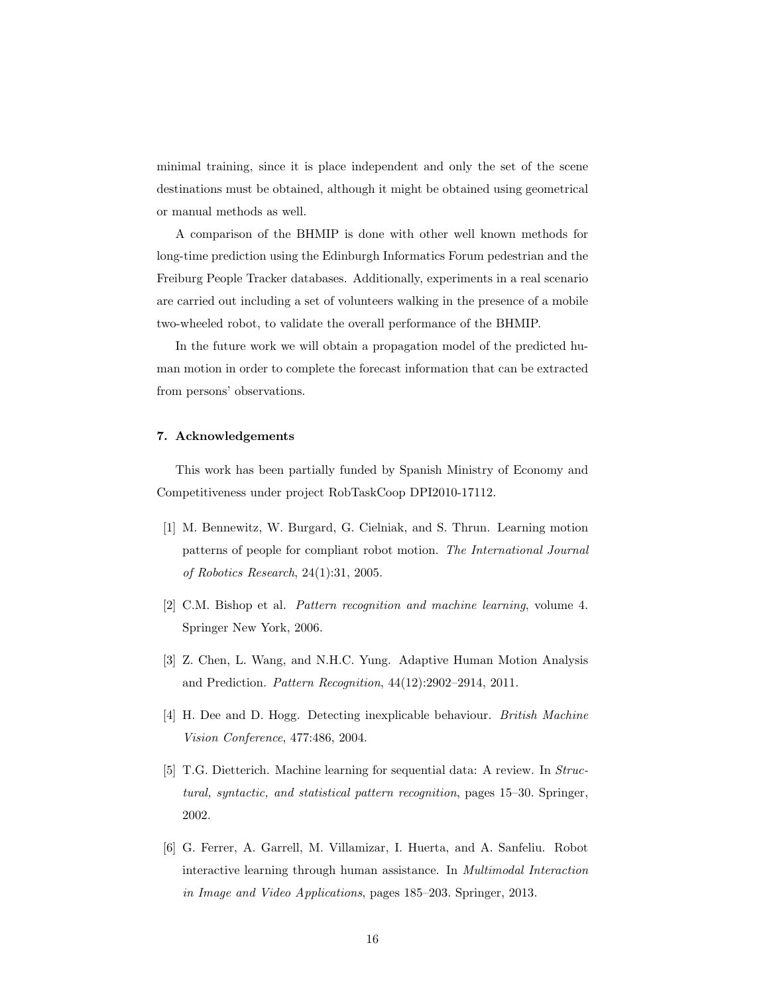minimal training, since it is place independent and only the set of the scene destinations must be obtained, although it might be obtained using geometrical or manual methods as well.

A comparison of the BHMIP is done with other well known methods for long-time prediction using the Edinburgh Informatics Forum pedestrian and the Freiburg People Tracker databases. Additionally, experiments in a real scenario are carried out including a set of volunteers walking in the presence of a mobile two-wheeled robot, to validate the overall performance of the BHMIP.

In the future work we will obtain a propagation model of the predicted human motion in order to complete the forecast information that can be extracted from persons' observations.

## 7. Acknowledgements

This work has been partially funded by Spanish Ministry of Economy and Competitiveness under project RobTaskCoop DPI2010-17112.

- [1] M. Bennewitz, W. Burgard, G. Cielniak, and S. Thrun. Learning motion patterns of people for compliant robot motion. *The International Journal of Robotics Research*, 24(1):31, 2005.
- [2] C.M. Bishop et al. *Pattern recognition and machine learning*, volume 4. Springer New York, 2006.
- [3] Z. Chen, L. Wang, and N.H.C. Yung. Adaptive Human Motion Analysis and Prediction. *Pattern Recognition*, 44(12):2902–2914, 2011.
- [4] H. Dee and D. Hogg. Detecting inexplicable behaviour. *British Machine Vision Conference*, 477:486, 2004.
- [5] T.G. Dietterich. Machine learning for sequential data: A review. In *Structural, syntactic, and statistical pattern recognition*, pages 15–30. Springer, 2002.
- [6] G. Ferrer, A. Garrell, M. Villamizar, I. Huerta, and A. Sanfeliu. Robot interactive learning through human assistance. In *Multimodal Interaction in Image and Video Applications*, pages 185–203. Springer, 2013.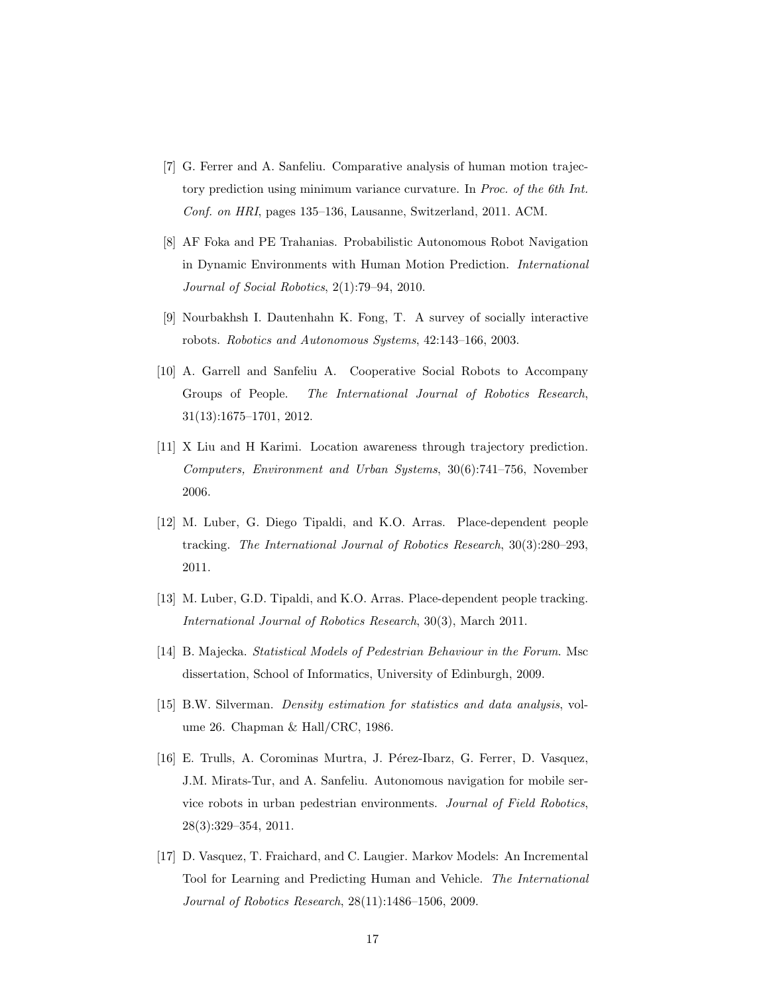- [7] G. Ferrer and A. Sanfeliu. Comparative analysis of human motion trajectory prediction using minimum variance curvature. In *Proc. of the 6th Int. Conf. on HRI*, pages 135–136, Lausanne, Switzerland, 2011. ACM.
- [8] AF Foka and PE Trahanias. Probabilistic Autonomous Robot Navigation in Dynamic Environments with Human Motion Prediction. *International Journal of Social Robotics*, 2(1):79–94, 2010.
- [9] Nourbakhsh I. Dautenhahn K. Fong, T. A survey of socially interactive robots. *Robotics and Autonomous Systems*, 42:143–166, 2003.
- [10] A. Garrell and Sanfeliu A. Cooperative Social Robots to Accompany Groups of People. *The International Journal of Robotics Research*, 31(13):1675–1701, 2012.
- [11] X Liu and H Karimi. Location awareness through trajectory prediction. *Computers, Environment and Urban Systems*, 30(6):741–756, November 2006.
- [12] M. Luber, G. Diego Tipaldi, and K.O. Arras. Place-dependent people tracking. *The International Journal of Robotics Research*, 30(3):280–293, 2011.
- [13] M. Luber, G.D. Tipaldi, and K.O. Arras. Place-dependent people tracking. *International Journal of Robotics Research*, 30(3), March 2011.
- [14] B. Majecka. *Statistical Models of Pedestrian Behaviour in the Forum*. Msc dissertation, School of Informatics, University of Edinburgh, 2009.
- [15] B.W. Silverman. *Density estimation for statistics and data analysis*, volume 26. Chapman & Hall/CRC, 1986.
- [16] E. Trulls, A. Corominas Murtra, J. Pérez-Ibarz, G. Ferrer, D. Vasquez, J.M. Mirats-Tur, and A. Sanfeliu. Autonomous navigation for mobile service robots in urban pedestrian environments. *Journal of Field Robotics*, 28(3):329–354, 2011.
- [17] D. Vasquez, T. Fraichard, and C. Laugier. Markov Models: An Incremental Tool for Learning and Predicting Human and Vehicle. *The International Journal of Robotics Research*, 28(11):1486–1506, 2009.